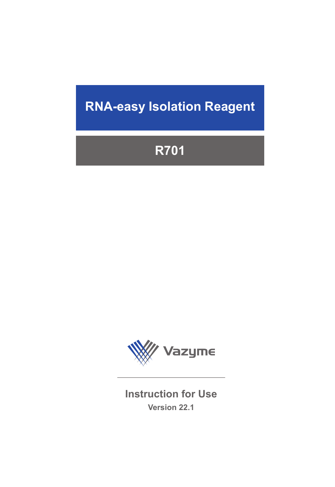# **RNA-easy Isolation Reagent**

# **R701**



**Instruction for Use Version 22.1**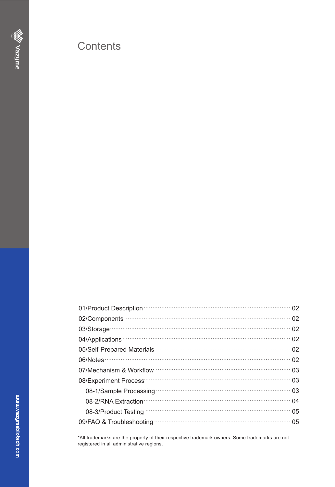## Contents

| 01/Product Description (2008) 02/02/03/04 02:00:00 02 |
|-------------------------------------------------------|
| 02/Components (2021)                                  |
| 02/Storage 03/Storage 02                              |
| 04/Applications 2014/Applications 2014                |
|                                                       |
| 06/Notes 22                                           |
|                                                       |
| 08/Experiment Process                                 |
|                                                       |
| 08-2/RNA Extraction 2008-000 04                       |
| 05<br>08-3/Product Testing                            |
| 09/FAQ & Troubleshooting manufactured and the USD 05  |

\*All trademarks are the property of their respective trademark owners. Some trademarks are not registered in all administrative regions.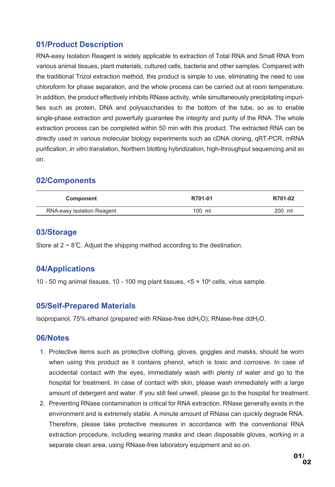## **01/Product Description**

RNA-easy Isolation Reagent is widely applicable to extraction of Total RNA and Small RNA from various animal tissues, plant materials, cultured cells, bacteria and other samples. Compared with the traditional Trizol extraction method, this product is simple to use, eliminating the need to use chloroform for phase separation, and the whole process can be carried out at room temperature. In addition, the product effectively inhibits RNase activity, while simultaneously precipitating impurities such as protein, DNA and polysaccharides to the bottom of the tube, so as to enable single-phase extraction and powerfully guarantee the integrity and purity of the RNA. The whole extraction process can be completed within 50 min with this product. The extracted RNA can be directly used in various molecular biology experiments such as cDNA cloning, qRT-PCR, mRNA purification, *in vitro* translation, Northern blotting hybridization, high-throughput sequencing and so on.

## **02/Components**

| Component                  | R701-01  | R701-02 |
|----------------------------|----------|---------|
| RNA-easy Isolation Reagent | $100$ ml | 200 ml  |

#### **03/Storage**

Store at  $2 \sim 8^{\circ}$ . Adjust the shipping method according to the destination.

## **04/Applications**

10 - 50 mg animal tissues, 10 - 100 mg plant tissues, <5 × 106 cells, virus sample.

#### **05/Self-Prepared Materials**

Isopropanol, 75% ethanol (prepared with RNase-free ddH<sub>2</sub>O), RNase-free ddH<sub>2</sub>O.

#### **06/Notes**

- 1. Protective items such as protective clothing, gloves, goggles and masks, should be worn when using this product as it contains phenol, which is toxic and corrosive. In case of accidental contact with the eyes, immediately wash with plenty of water and go to the hospital for treatment. In case of contact with skin, please wash immediately with a large amount of detergent and water. If you still feel unwell, please go to the hospital for treatment.
- 2. Preventing RNase contamination is critical for RNA extraction. RNase generally exists in the environment and is extremely stable. A minute amount of RNase can quickly degrade RNA. Therefore, please take protective measures in accordance with the conventional RNA extraction procedure, including wearing masks and clean disposable gloves, working in a separate clean area, using RNase-free laboratory equipment and so on.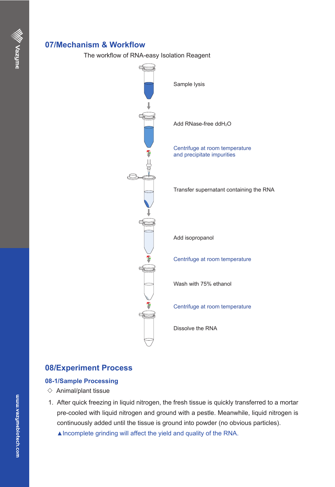## **07/Mechanism & Workflow**

The workflow of RNA-easy Isolation Reagent



## **08/Experiment Process**

#### **08-1/Sample Processing**

- $\diamond$  Animal/plant tissue
- After quick freezing in liquid nitrogen, the fresh tissue is quickly transferred to a mortar 1. pre-cooled with liquid nitrogen and ground with a pestle. Meanwhile, liquid nitrogen is continuously added until the tissue is ground into powder (no obvious particles).
	- ▲Incomplete grinding will affect the yield and quality of the RNA.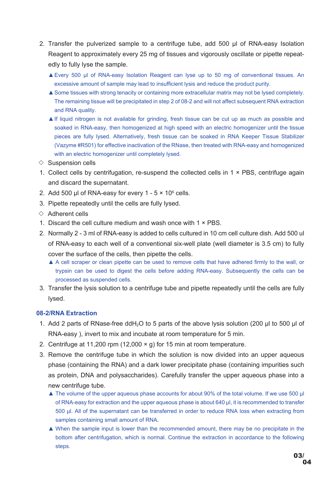- 2. Transfer the pulverized sample to a centrifuge tube, add 500  $\mu$ l of RNA-easy Isolation Reagent to approximately every 25 mg of tissues and vigorously oscillate or pipette repeatedly to fully lyse the sample.
	- Every 500 μl of RNA-easy Isolation Reagent can lyse up to 50 mg of conventional tissues. An ▲ excessive amount of sample may lead to insufficient lysis and reduce the product purity.
	- ▲ Some tissues with strong tenacity or containing more extracellular matrix may not be lysed completely. The remaining tissue will be precipitated in step 2 of 08-2 and will not affect subsequent RNA extraction and RNA quality.
	- ▲ If liquid nitrogen is not available for grinding, fresh tissue can be cut up as much as possible and soaked in RNA-easy, then homogenized at high speed with an electric homogenizer until the tissue pieces are fully lysed. Alternatively, fresh tissue can be soaked in RNA Keeper Tissue Stabilizer (Vazyme #R501) for effective inactivation of the RNase, then treated with RNA-easy and homogenized with an electric homogenizer until completely lysed.
- $\Diamond$  Suspension cells
- 1. Collect cells by centrifugation, re-suspend the collected cells in  $1 \times PBS$ , centrifuge again and discard the supernatant.
- 2. Add 500  $\mu$ l of RNA-easy for every 1 5 × 10 $^{\circ}$  cells.
- 3. Pipette repeatedly until the cells are fully lysed.
- ◇ Adherent cells
- 1. Discard the cell culture medium and wash once with  $1 \times PBS$ .
- 2. Normally 2 3 ml of RNA-easy is added to cells cultured in 10 cm cell culture dish. Add 500 ul of RNA-easy to each well of a conventional six-well plate (well diameter is 3.5 cm) to fully cover the surface of the cells, then pipette the cells.
	- ▲ A cell scraper or clean pipette can be used to remove cells that have adhered firmly to the wall, or trypsin can be used to digest the cells before adding RNA-easy. Subsequently the cells can be processed as suspended cells.
- 3. Transfer the lysis solution to a centrifuge tube and pipette repeatedly until the cells are fully lysed.

#### **08-2/RNA Extraction**

- 1. Add 2 parts of RNase-free ddH<sub>2</sub>O to 5 parts of the above lysis solution (200 μl to 500 μl of RNA-easy ), invert to mix and incubate at room temperature for 5 min.
- 2. Centrifuge at 11,200 rpm (12,000 × g) for 15 min at room temperature.
- 3. Remove the centrifuge tube in which the solution is now divided into an upper aqueous phase (containing the RNA) and a dark lower precipitate phase (containing impurities such as protein, DNA and polysaccharides). Carefully transfer the upper aqueous phase into a new centrifuge tube.
	- ▲ The volume of the upper aqueous phase accounts for about 90% of the total volume. If we use 500 μl of RNA-easy for extraction and the upper aqueous phase is about 640 μl, it is recommended to transfer 500 μl. All of the supernatant can be transferred in order to reduce RNA loss when extracting from samples containing small amount of RNA.
	- ▲ When the sample input is lower than the recommended amount, there may be no precipitate in the bottom after centrifugation, which is normal. Continue the extraction in accordance to the following steps.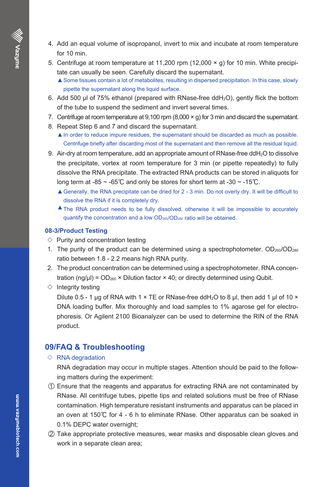- 4. Add an equal volume of isopropanol, invert to mix and incubate at room temperature for 10 min.
- 5. Centrifuge at room temperature at 11,200 rpm (12,000  $\times$  g) for 10 min. White precipitate can usually be seen. Carefully discard the supernatant.
	- ▲Some tissues contain a lot of metabolites, resulting in dispersed precipitation. In this case, slowly pipette the supernatant along the liquid surface.
- 6. Add 500  $\mu$ l of 75% ethanol (prepared with RNase-free ddH $_2$ O), gently flick the bottom of the tube to suspend the sediment and invert several times.
- 7. Centrifuge at room temperature at 9,100 rpm (8,000  $\times$  g) for 3 min and discard the supernatant.
- 8. Repeat Step 6 and 7 and discard the supernatant.
	- ▲In order to reduce impure residues, the supernatant should be discarded as much as possible. Centrifuge briefly after discarding most of the supernatant and then remove all the residual liquid.
- 9.  $\,$  Air-dry at room temperature, add an appropriate amount of RNase-free ddH $_2$ O to dissolve  $\,$ the precipitate, vortex at room temperature for 3 min (or pipette repeatedly) to fully dissolve the RNA precipitate. The extracted RNA products can be stored in aliquots for long term at -85  $\sim$  -65℃ and only be stores for short term at -30  $\sim$  -15℃.
	- ▲ Generally, the RNA precipitate can be dried for 2 3 min. Do not overly dry. It will be difficult to dissolve the RNA if it is completely dry.
	- ▲ The RNA product needs to be fully dissolved, otherwise it will be impossible to accurately quantify the concentration and a low OD260/OD280 ratio will be obtained.

#### **08-3/Product Testing**

- $\diamond$  Purity and concentration testing
- 1. The purity of the product can be determined using a spectrophotometer.  $OD_{260}/OD_{280}$ ratio between 1.8 - 2.2 means high RNA purity.
- 2. The product concentration can be determined using a spectrophotometer. RNA concentration (ng/ $\mu$ I) = OD<sub>260</sub> × Dilution factor × 40; or directly determined using Qubit.
- $\diamond$  Integrity testing

Dilute 0.5 - 1 μg of RNA with 1  $\times$  TE or RNase-free ddH<sub>2</sub>O to 8 μl, then add 1 μl of 10  $\times$ DNA loading buffer. Mix thoroughly and load samples to 1% agarose gel for electrophoresis. Or Agilent 2100 Bioanalyzer can be used to determine the RIN of the RNA product.

#### **09/FAQ & Troubleshooting**

#### $\Diamond$  RNA degradation

RNA degradation may occur in multiple stages. Attention should be paid to the following matters during the experiment:

- $\textcircled{1}$  Ensure that the reagents and apparatus for extracting RNA are not contaminated by RNase. All centrifuge tubes, pipette tips and related solutions must be free of RNase contamination. High temperature resistant instruments and apparatus can be placed in an oven at 150℃ for 4 - 6 h to eliminate RNase. Other apparatus can be soaked in 0.1% DEPC water overnight;
- $\oslash$  Take appropriate protective measures, wear masks and disposable clean gloves and work in a separate clean area;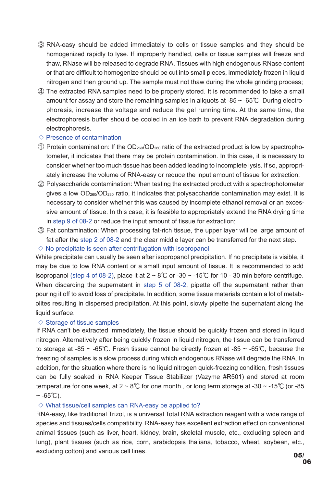- RNA-easy should be added immediately to cells or tissue samples and they should be ③ homogenized rapidly to lyse. If improperly handled, cells or tissue samples will freeze and thaw, RNase will be released to degrade RNA. Tissues with high endogenous RNase content or that are difficult to homogenize should be cut into small pieces, immediately frozen in liquid nitrogen and then ground up. The sample must not thaw during the whole grinding process;
- The extracted RNA samples need to be properly stored. It is recommended to take a small ④amount for assay and store the remaining samples in aliquots at -85 ~ -65℃. During electrophoresis, increase the voltage and reduce the gel running time. At the same time, the electrophoresis buffer should be cooled in an ice bath to prevent RNA degradation during electrophoresis.
- $\diamond$  Presence of contamination
- $\bigcirc$  Protein contamination: If the OD $_{260}/\mathrm{OD}_{280}$  ratio of the extracted product is low by spectrophotometer, it indicates that there may be protein contamination. In this case, it is necessary to consider whether too much tissue has been added leading to incomplete lysis. If so, appropriately increase the volume of RNA-easy or reduce the input amount of tissue for extraction;
- $\oslash$  Polysaccharide contamination: When testing the extracted product with a spectrophotometer gives a low  $OD<sub>260</sub>/OD<sub>230</sub>$  ratio, it indicates that polysaccharide contamination may exist. It is necessary to consider whether this was caused by incomplete ethanol removal or an excessive amount of tissue. In this case, it is feasible to appropriately extend the RNA drying time in step 9 of 08-2 or reduce the input amount of tissue for extraction;
- $\circledS$  Fat contamination: When processing fat-rich tissue, the upper layer will be large amount of fat after the step 2 of 08-2 and the clear middle layer can be transferred for the next step.

 $\diamond$  No precipitate is seen after centrifugation with isopropanol

White precipitate can usually be seen after isopropanol precipitation. If no precipitate is visible, it may be due to low RNA content or a small input amount of tissue. It is recommended to add isopropanol (step 4 of 08-2), place it at  $2 \sim 8^{\circ}$ C or -30  $\sim$  -15°C for 10 - 30 min before centrifuge. When discarding the supernatant in step 5 of 08-2, pipette off the supernatant rather than pouring it off to avoid loss of precipitate. In addition, some tissue materials contain a lot of metabolites resulting in dispersed precipitation. At this point, slowly pipette the supernatant along the liquid surface.

#### $\diamond$  Storage of tissue samples

If RNA can't be extracted immediately, the tissue should be quickly frozen and stored in liquid nitrogen. Alternatively after being quickly frozen in liquid nitrogen, the tissue can be transferred to storage at -85 ~ -65℃. Fresh tissue cannot be directly frozen at -85 ~ -65℃, because the freezing of samples is a slow process during which endogenous RNase will degrade the RNA. In addition, for the situation where there is no liquid nitrogen quick-freezing condition, fresh tissues can be fully soaked in RNA Keeper Tissue Stabilizer (Vazyme #R501) and stored at room temperature for one week, at  $2 \sim 8^{\circ}$  for one month, or long term storage at -30 ~ -15°C (or -85  $~\sim$  -65°C).

#### $\diamond$  What tissue/cell samples can RNA-easy be applied to?

RNA-easy, like traditional Trizol, is a universal Total RNA extraction reagent with a wide range of species and tissues/cells compatibility. RNA-easy has excellent extraction effect on conventional animal tissues (such as liver, heart, kidney, brain, skeletal muscle, etc., excluding spleen and lung), plant tissues (such as rice, corn, arabidopsis thaliana, tobacco, wheat, soybean, etc., excluding cotton) and various cell lines.